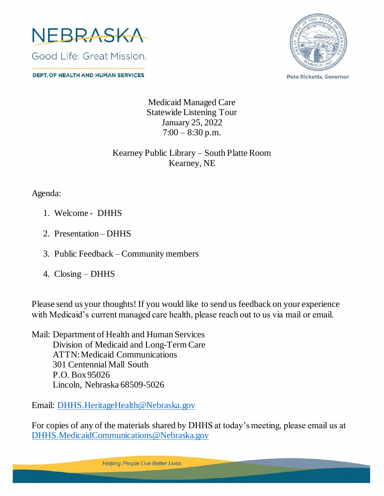

**DEPT. OF HEALTH AND HUMAN SERVICES** 



**Pete Ricketts, Governor** 

Medicaid Managed Care Statewide Listening Tour January 25, 2022  $7:00 - 8:30$  p.m.

## Kearney Public Library – South Platte Room Kearney, NE

Agenda:

- 1. Welcome DHHS
- 2. Presentation DHHS
- 3. Public Feedback Community members
- 4. Closing DHHS

Please send us your thoughts! If you would like to send us feedback on your experience with Medicaid's current managed care health, please reach out to us via mail or email.

Mail: Department of Health and Human Services Division of Medicaid and Long-Term Care ATTN: Medicaid Communications 301 Centennial Mall South P.O. Box 95026 Lincoln, Nebraska 68509-5026

Email: [DHHS.HeritageHealth@Nebraska.gov](mailto:DHHS.HeritageHealth@Nebraska.gov)

For copies of any of the materials shared by DHHS at today's meeting, please email us at [DHHS.MedicaidCommunications@Nebraska.gov](mailto:DHHS.MedicaidCommunications@Nebraska.gov)

**Helping People Live Better Lives**